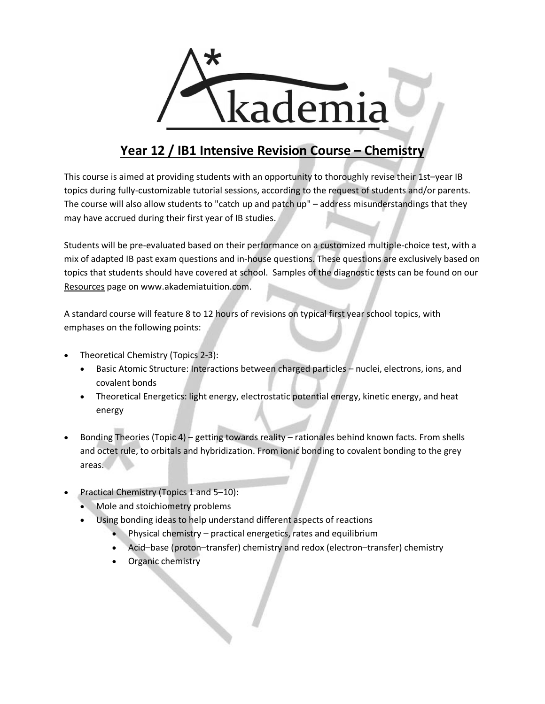

## **Year 12 / IB1 Intensive Revision Course – Chemistry**

This course is aimed at providing students with an opportunity to thoroughly revise their 1st–year IB topics during fully-customizable tutorial sessions, according to the request of students and/or parents. The course will also allow students to "catch up and patch up" – address misunderstandings that they may have accrued during their first year of IB studies.

Students will be pre-evaluated based on their performance on a customized multiple-choice test, with a mix of adapted IB past exam questions and in-house questions. These questions are exclusively based on topics that students should have covered at school. Samples of the diagnostic tests can be found on our Resources page on www.akademiatuition.com.

A standard course will feature 8 to 12 hours of revisions on typical first year school topics, with emphases on the following points:

- Theoretical Chemistry (Topics 2-3):
	- Basic Atomic Structure: Interactions between charged particles nuclei, electrons, ions, and covalent bonds
	- Theoretical Energetics: light energy, electrostatic potential energy, kinetic energy, and heat energy
- Bonding Theories (Topic 4) getting towards reality rationales behind known facts. From shells and octet rule, to orbitals and hybridization. From ionic bonding to covalent bonding to the grey areas.
- Practical Chemistry (Topics 1 and 5–10):
	- Mole and stoichiometry problems
	- Using bonding ideas to help understand different aspects of reactions
		- Physical chemistry practical energetics, rates and equilibrium
		- Acid–base (proton–transfer) chemistry and redox (electron–transfer) chemistry
		- Organic chemistry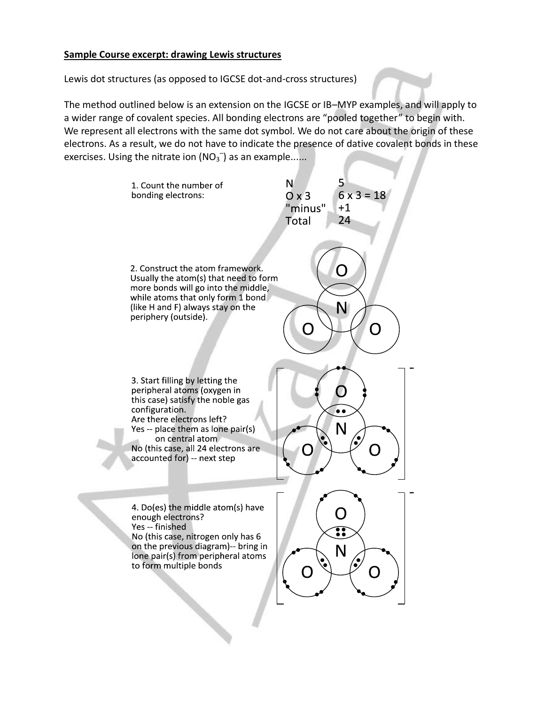## **Sample Course excerpt: drawing Lewis structures**

Lewis dot structures (as opposed to IGCSE dot-and-cross structures)

The method outlined below is an extension on the IGCSE or IB–MYP examples, and will apply to a wider range of covalent species. All bonding electrons are "pooled together" to begin with. We represent all electrons with the same dot symbol. We do not care about the origin of these electrons. As a result, we do not have to indicate the presence of dative covalent bonds in these exercises. Using the nitrate ion  $(NO<sub>3</sub>^-)$  as an example......